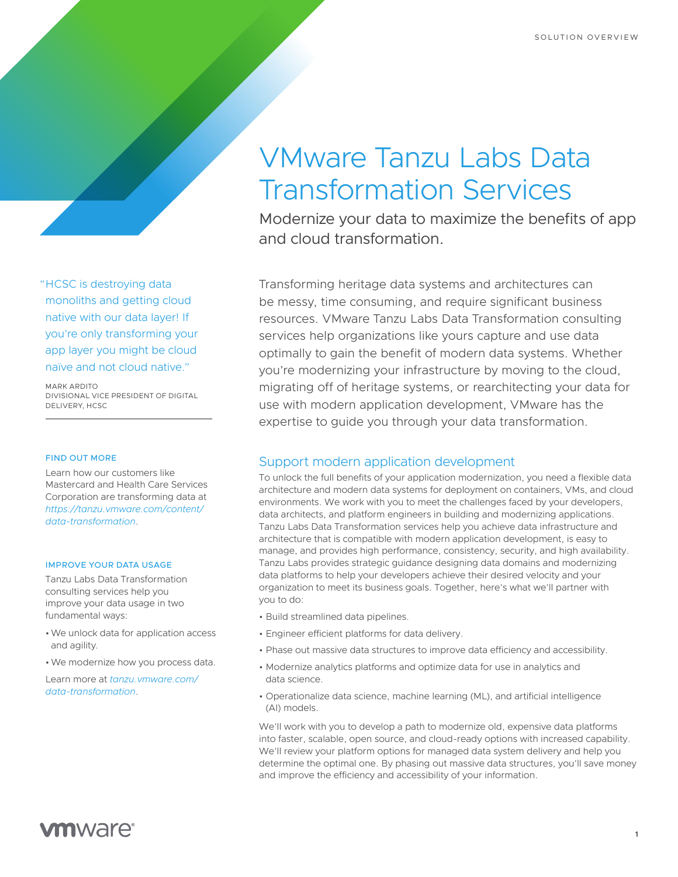# VMware Tanzu Labs Data Transformation Services

Modernize your data to maximize the benefits of app and cloud transformation.

Transforming heritage data systems and architectures can be messy, time consuming, and require significant business resources. VMware Tanzu Labs Data Transformation consulting services help organizations like yours capture and use data optimally to gain the benefit of modern data systems. Whether you're modernizing your infrastructure by moving to the cloud, migrating off of heritage systems, or rearchitecting your data for use with modern application development, VMware has the expertise to guide you through your data transformation.

## Support modern application development

To unlock the full benefits of your application modernization, you need a flexible data architecture and modern data systems for deployment on containers, VMs, and cloud environments. We work with you to meet the challenges faced by your developers, data architects, and platform engineers in building and modernizing applications. Tanzu Labs Data Transformation services help you achieve data infrastructure and architecture that is compatible with modern application development, is easy to manage, and provides high performance, consistency, security, and high availability. Tanzu Labs provides strategic guidance designing data domains and modernizing data platforms to help your developers achieve their desired velocity and your organization to meet its business goals. Together, here's what we'll partner with you to do:

- Build streamlined data pipelines.
- Engineer efficient platforms for data delivery.
- Phase out massive data structures to improve data efficiency and accessibility.
- Modernize analytics platforms and optimize data for use in analytics and data science.
- Operationalize data science, machine learning (ML), and artificial intelligence (AI) models.

We'll work with you to develop a path to modernize old, expensive data platforms into faster, scalable, open source, and cloud-ready options with increased capability. We'll review your platform options for managed data system delivery and help you determine the optimal one. By phasing out massive data structures, you'll save money and improve the efficiency and accessibility of your information.

"HCSC is destroying data monoliths and getting cloud native with our data layer! If you're only transforming your app layer you might be cloud naïve and not cloud native."

MARK ARDITO DIVISIONAL VICE PRESIDENT OF DIGITAL DELIVERY, HCSC

#### FIND OUT MORE

Learn how our customers like Mastercard and Health Care Services Corporation are transforming data at *[https://tanzu.vmware.com/content/](https://tanzu.vmware.com/content/data-transformation) [data-transformation](https://tanzu.vmware.com/content/data-transformation)* .

### IMPROVE YOUR DATA USAGE

Tanzu Labs Data Transformation consulting services help you improve your data usage in two fundamental ways:

- •We unlock data for application access and agility.
- •We modernize how you process data.

Learn more at *[tanzu.vmware.com/](http://tanzu.vmware.com/data-transformation) [data-transformation](http://tanzu.vmware.com/data-transformation)* .